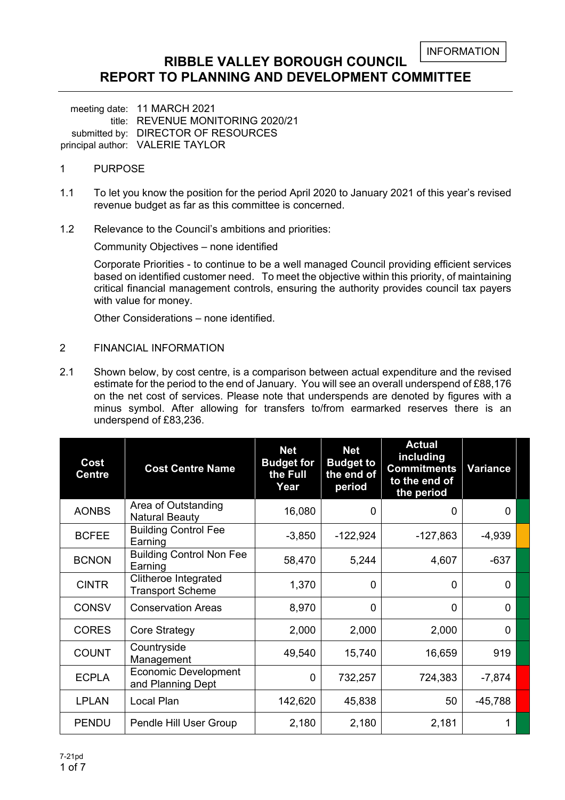```
INFORMATION
```
### **RIBBLE VALLEY BOROUGH COUNCIL REPORT TO PLANNING AND DEVELOPMENT COMMITTEE**

meeting date: 11 MARCH 2021 title: REVENUE MONITORING 2020/21 submitted by: DIRECTOR OF RESOURCES principal author: VALERIE TAYLOR

### 1 PURPOSE

- 1.1 To let you know the position for the period April 2020 to January 2021 of this year's revised revenue budget as far as this committee is concerned.
- 1.2 Relevance to the Council's ambitions and priorities:

Community Objectives – none identified

Corporate Priorities - to continue to be a well managed Council providing efficient services based on identified customer need. To meet the objective within this priority, of maintaining critical financial management controls, ensuring the authority provides council tax payers with value for money.

Other Considerations – none identified.

#### 2 FINANCIAL INFORMATION

2.1 Shown below, by cost centre, is a comparison between actual expenditure and the revised estimate for the period to the end of January. You will see an overall underspend of £88,176 on the net cost of services. Please note that underspends are denoted by figures with a minus symbol. After allowing for transfers to/from earmarked reserves there is an underspend of £83,236.

| Cost<br>Centre | <b>Cost Centre Name</b>                                | <b>Net</b><br><b>Budget for</b><br>the Full<br>Year | <b>Net</b><br><b>Budget to</b><br>the end of<br>period | <b>Actual</b><br>including<br><b>Commitments</b><br>to the end of<br>the period | <b>Variance</b> |  |
|----------------|--------------------------------------------------------|-----------------------------------------------------|--------------------------------------------------------|---------------------------------------------------------------------------------|-----------------|--|
| <b>AONBS</b>   | Area of Outstanding<br><b>Natural Beauty</b>           | 16,080                                              | 0                                                      | $\Omega$                                                                        | $\Omega$        |  |
| <b>BCFEE</b>   | <b>Building Control Fee</b><br>Earning                 | $-3,850$                                            | $-122,924$                                             | $-127,863$                                                                      | $-4,939$        |  |
| <b>BCNON</b>   | <b>Building Control Non Fee</b><br>Earning             | 58,470                                              | 5,244                                                  | 4,607                                                                           | $-637$          |  |
| <b>CINTR</b>   | <b>Clitheroe Integrated</b><br><b>Transport Scheme</b> | 1,370                                               | $\Omega$                                               | 0                                                                               | 0               |  |
| <b>CONSV</b>   | <b>Conservation Areas</b>                              | 8,970                                               | $\mathbf{0}$                                           | $\Omega$                                                                        | $\Omega$        |  |
| <b>CORES</b>   | Core Strategy                                          | 2,000                                               | 2,000                                                  | 2,000                                                                           | $\Omega$        |  |
| <b>COUNT</b>   | Countryside<br>Management                              | 49,540                                              | 15,740                                                 | 16,659                                                                          | 919             |  |
| <b>ECPLA</b>   | <b>Economic Development</b><br>and Planning Dept       | $\mathbf 0$                                         | 732,257                                                | 724,383                                                                         | $-7,874$        |  |
| <b>LPLAN</b>   | <b>Local Plan</b>                                      | 142,620                                             | 45,838                                                 | 50                                                                              | $-45,788$       |  |
| <b>PENDU</b>   | Pendle Hill User Group                                 | 2,180                                               | 2,180                                                  | 2,181                                                                           |                 |  |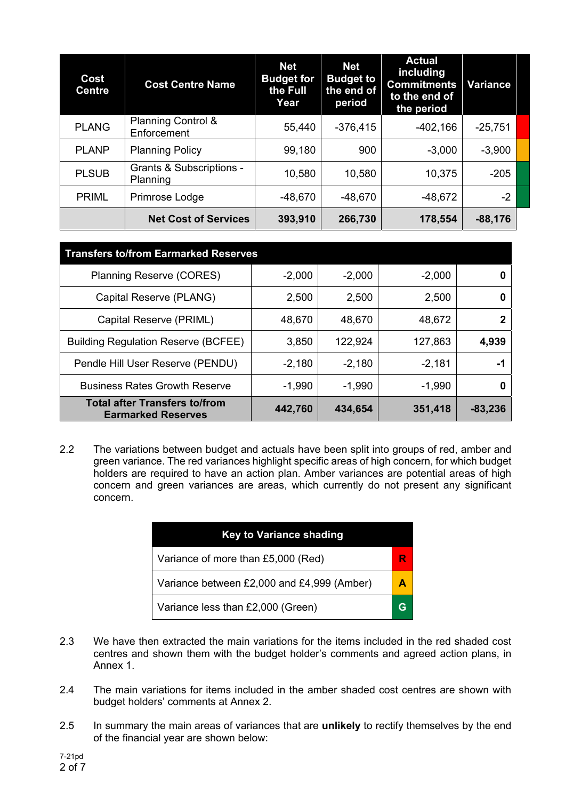| Cost<br><b>Centre</b> | <b>Cost Centre Name</b>                         | <b>Net</b><br><b>Budget for</b><br>the Full<br>Year | <b>Net</b><br><b>Budget to</b><br>the end of<br>period | <b>Actual</b><br>including<br><b>Commitments</b><br>to the end of<br>the period | <b>Variance</b> |  |
|-----------------------|-------------------------------------------------|-----------------------------------------------------|--------------------------------------------------------|---------------------------------------------------------------------------------|-----------------|--|
| <b>PLANG</b>          | <b>Planning Control &amp;</b><br>Enforcement    | 55,440                                              | $-376,415$                                             | $-402,166$                                                                      | $-25,751$       |  |
| <b>PLANP</b>          | <b>Planning Policy</b>                          | 99,180                                              | 900                                                    | $-3,000$                                                                        | $-3,900$        |  |
| <b>PLSUB</b>          | <b>Grants &amp; Subscriptions -</b><br>Planning | 10,580                                              | 10,580                                                 | 10,375                                                                          | $-205$          |  |
| <b>PRIML</b>          | Primrose Lodge                                  | $-48,670$                                           | $-48,670$                                              | $-48,672$                                                                       | $-2$            |  |
|                       | <b>Net Cost of Services</b>                     | 393,910                                             | 266,730                                                | 178,554                                                                         | $-88,176$       |  |

| <b>Transfers to/from Earmarked Reserves</b>                       |          |          |          |           |  |  |  |  |  |
|-------------------------------------------------------------------|----------|----------|----------|-----------|--|--|--|--|--|
| <b>Planning Reserve (CORES)</b>                                   | $-2,000$ | $-2,000$ | $-2,000$ |           |  |  |  |  |  |
| Capital Reserve (PLANG)                                           | 2,500    | 2,500    | 2,500    |           |  |  |  |  |  |
| Capital Reserve (PRIML)                                           | 48,670   | 48,670   | 48,672   |           |  |  |  |  |  |
| <b>Building Regulation Reserve (BCFEE)</b>                        | 3,850    | 122,924  | 127,863  | 4,939     |  |  |  |  |  |
| Pendle Hill User Reserve (PENDU)                                  | $-2,180$ | $-2,180$ | $-2,181$ | -1        |  |  |  |  |  |
| <b>Business Rates Growth Reserve</b>                              | $-1,990$ | $-1,990$ | $-1,990$ | 0         |  |  |  |  |  |
| <b>Total after Transfers to/from</b><br><b>Earmarked Reserves</b> | 442,760  | 434,654  | 351,418  | $-83,236$ |  |  |  |  |  |

2.2 The variations between budget and actuals have been split into groups of red, amber and green variance. The red variances highlight specific areas of high concern, for which budget holders are required to have an action plan. Amber variances are potential areas of high concern and green variances are areas, which currently do not present any significant concern.

| <b>Key to Variance shading</b>             |   |  |  |  |  |  |
|--------------------------------------------|---|--|--|--|--|--|
| Variance of more than £5,000 (Red)         |   |  |  |  |  |  |
| Variance between £2,000 and £4,999 (Amber) |   |  |  |  |  |  |
| Variance less than £2,000 (Green)          | G |  |  |  |  |  |

- 2.3 We have then extracted the main variations for the items included in the red shaded cost centres and shown them with the budget holder's comments and agreed action plans, in Annex 1.
- 2.4 The main variations for items included in the amber shaded cost centres are shown with budget holders' comments at Annex 2.
- 2.5 In summary the main areas of variances that are **unlikely** to rectify themselves by the end of the financial year are shown below: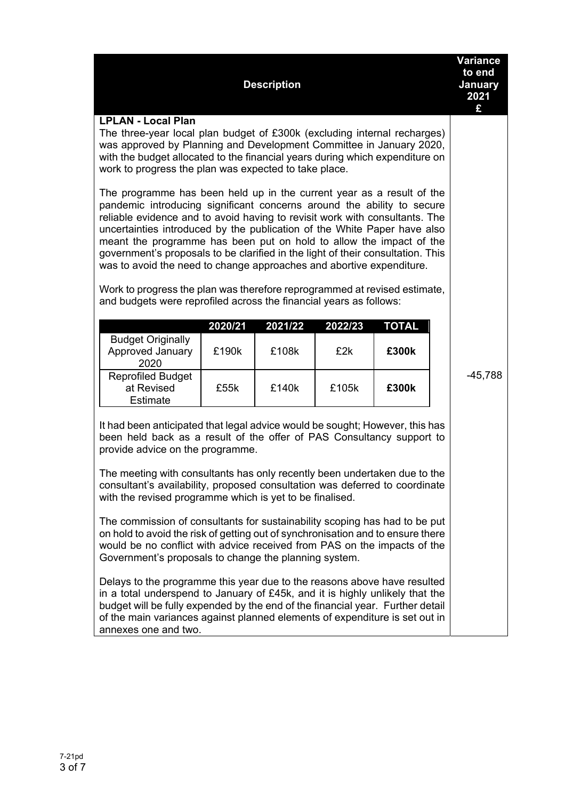| <b>Description</b>                                                                                                                                                                                                                                                                                                                                                                                                                                                                                                                                                                                                                                                                                                                                                                                                                                                                                                                                                                                                                                                           |                                                                                                                                                                                                                                    |       |       |       |  |           |  |  |  |  |
|------------------------------------------------------------------------------------------------------------------------------------------------------------------------------------------------------------------------------------------------------------------------------------------------------------------------------------------------------------------------------------------------------------------------------------------------------------------------------------------------------------------------------------------------------------------------------------------------------------------------------------------------------------------------------------------------------------------------------------------------------------------------------------------------------------------------------------------------------------------------------------------------------------------------------------------------------------------------------------------------------------------------------------------------------------------------------|------------------------------------------------------------------------------------------------------------------------------------------------------------------------------------------------------------------------------------|-------|-------|-------|--|-----------|--|--|--|--|
| <b>LPLAN - Local Plan</b><br>The three-year local plan budget of £300k (excluding internal recharges)<br>was approved by Planning and Development Committee in January 2020,<br>with the budget allocated to the financial years during which expenditure on<br>work to progress the plan was expected to take place.<br>The programme has been held up in the current year as a result of the<br>pandemic introducing significant concerns around the ability to secure<br>reliable evidence and to avoid having to revisit work with consultants. The<br>uncertainties introduced by the publication of the White Paper have also<br>meant the programme has been put on hold to allow the impact of the<br>government's proposals to be clarified in the light of their consultation. This<br>was to avoid the need to change approaches and abortive expenditure.                                                                                                                                                                                                        |                                                                                                                                                                                                                                    |       |       |       |  |           |  |  |  |  |
| <b>Budget Originally</b><br>Approved January                                                                                                                                                                                                                                                                                                                                                                                                                                                                                                                                                                                                                                                                                                                                                                                                                                                                                                                                                                                                                                 | Work to progress the plan was therefore reprogrammed at revised estimate,<br>and budgets were reprofiled across the financial years as follows:<br>2020/21<br><b>TOTAL</b><br>2021/22<br>2022/23<br>£190k<br>£108k<br>£2k<br>£300k |       |       |       |  |           |  |  |  |  |
| 2020<br><b>Reprofiled Budget</b><br>at Revised<br><b>Estimate</b>                                                                                                                                                                                                                                                                                                                                                                                                                                                                                                                                                                                                                                                                                                                                                                                                                                                                                                                                                                                                            | £55k                                                                                                                                                                                                                               | £140k | £105k | £300k |  | $-45,788$ |  |  |  |  |
| It had been anticipated that legal advice would be sought; However, this has<br>been held back as a result of the offer of PAS Consultancy support to<br>provide advice on the programme.<br>The meeting with consultants has only recently been undertaken due to the<br>consultant's availability, proposed consultation was deferred to coordinate<br>with the revised programme which is yet to be finalised.<br>The commission of consultants for sustainability scoping has had to be put<br>on hold to avoid the risk of getting out of synchronisation and to ensure there<br>would be no conflict with advice received from PAS on the impacts of the<br>Government's proposals to change the planning system.<br>Delays to the programme this year due to the reasons above have resulted<br>in a total underspend to January of £45k, and it is highly unlikely that the<br>budget will be fully expended by the end of the financial year. Further detail<br>of the main variances against planned elements of expenditure is set out in<br>annexes one and two. |                                                                                                                                                                                                                                    |       |       |       |  |           |  |  |  |  |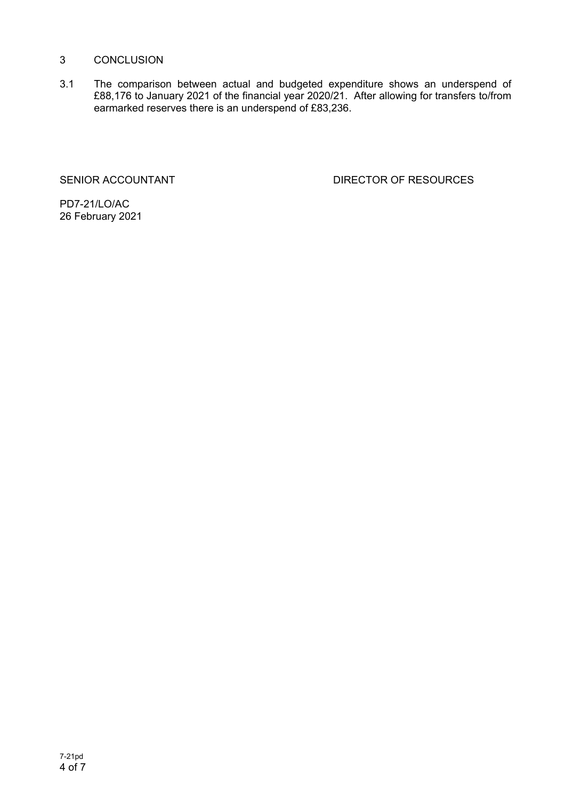#### 3 CONCLUSION

3.1 The comparison between actual and budgeted expenditure shows an underspend of £88,176 to January 2021 of the financial year 2020/21. After allowing for transfers to/from earmarked reserves there is an underspend of £83,236.

SENIOR ACCOUNTANT DIRECTOR OF RESOURCES

PD7-21/LO/AC 26 February 2021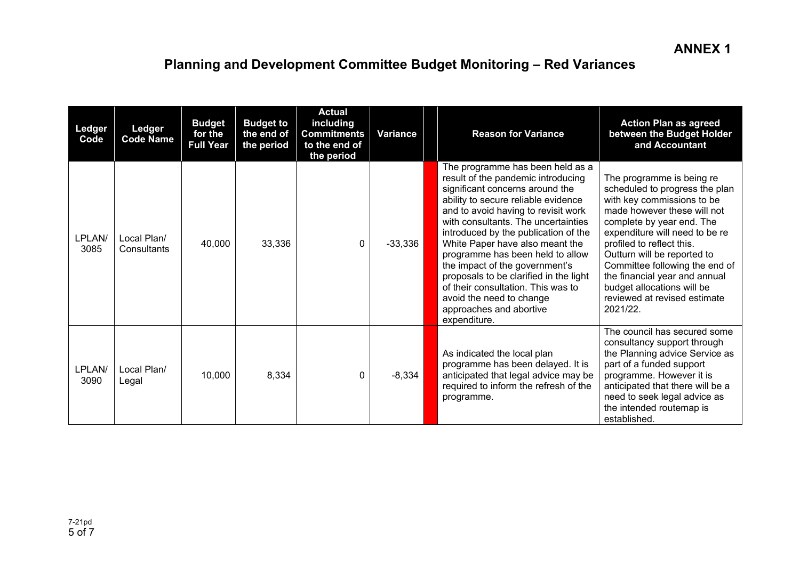# **Planning and Development Committee Budget Monitoring – Red Variances**

| Ledger<br>Code | Ledger<br><b>Code Name</b> | <b>Budget</b><br>for the<br><b>Full Year</b> | <b>Budget to</b><br>the end of<br>the period | <b>Actual</b><br>including<br><b>Commitments</b><br>to the end of<br>the period | <b>Variance</b> | <b>Reason for Variance</b>                                                                                                                                                                                                                                                                                                                                                                                                                                                                                                             | <b>Action Plan as agreed</b><br>between the Budget Holder<br>and Accountant                                                                                                                                                                                                                                                                                                                      |
|----------------|----------------------------|----------------------------------------------|----------------------------------------------|---------------------------------------------------------------------------------|-----------------|----------------------------------------------------------------------------------------------------------------------------------------------------------------------------------------------------------------------------------------------------------------------------------------------------------------------------------------------------------------------------------------------------------------------------------------------------------------------------------------------------------------------------------------|--------------------------------------------------------------------------------------------------------------------------------------------------------------------------------------------------------------------------------------------------------------------------------------------------------------------------------------------------------------------------------------------------|
| LPLAN/<br>3085 | Local Plan/<br>Consultants | 40,000                                       | 33,336                                       | 0                                                                               | $-33,336$       | The programme has been held as a<br>result of the pandemic introducing<br>significant concerns around the<br>ability to secure reliable evidence<br>and to avoid having to revisit work<br>with consultants. The uncertainties<br>introduced by the publication of the<br>White Paper have also meant the<br>programme has been held to allow<br>the impact of the government's<br>proposals to be clarified in the light<br>of their consultation. This was to<br>avoid the need to change<br>approaches and abortive<br>expenditure. | The programme is being re<br>scheduled to progress the plan<br>with key commissions to be<br>made however these will not<br>complete by year end. The<br>expenditure will need to be re<br>profiled to reflect this.<br>Outturn will be reported to<br>Committee following the end of<br>the financial year and annual<br>budget allocations will be<br>reviewed at revised estimate<br>2021/22. |
| LPLAN/<br>3090 | Local Plan/<br>Legal       | 10,000                                       | 8,334                                        | 0                                                                               | $-8,334$        | As indicated the local plan<br>programme has been delayed. It is<br>anticipated that legal advice may be<br>required to inform the refresh of the<br>programme.                                                                                                                                                                                                                                                                                                                                                                        | The council has secured some<br>consultancy support through<br>the Planning advice Service as<br>part of a funded support<br>programme. However it is<br>anticipated that there will be a<br>need to seek legal advice as<br>the intended routemap is<br>established.                                                                                                                            |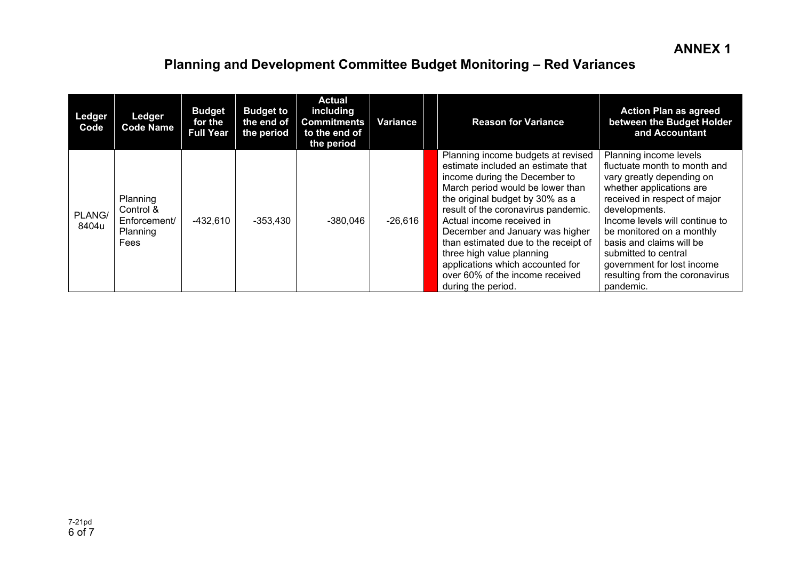# **Planning and Development Committee Budget Monitoring – Red Variances**

| Ledger<br>Code  | Ledger<br><b>Code Name</b>                                       | <b>Budget</b><br>for the<br><b>Full Year</b> | <b>Budget to</b><br>the end of<br>the period | <b>Actual</b><br>including<br><b>Commitments</b><br>to the end of<br>the period | Variance  | <b>Reason for Variance</b>                                                                                                                                                                                                                                                                                                                                                                                                                                | <b>Action Plan as agreed</b><br>between the Budget Holder<br>and Accountant                                                                                                                                                                                                                                                                                      |
|-----------------|------------------------------------------------------------------|----------------------------------------------|----------------------------------------------|---------------------------------------------------------------------------------|-----------|-----------------------------------------------------------------------------------------------------------------------------------------------------------------------------------------------------------------------------------------------------------------------------------------------------------------------------------------------------------------------------------------------------------------------------------------------------------|------------------------------------------------------------------------------------------------------------------------------------------------------------------------------------------------------------------------------------------------------------------------------------------------------------------------------------------------------------------|
| PLANG/<br>8404u | Planning<br>Control &<br>Enforcement/<br>Planning<br><b>Fees</b> | $-432,610$                                   | $-353,430$                                   | $-380,046$                                                                      | $-26,616$ | Planning income budgets at revised<br>estimate included an estimate that<br>income during the December to<br>March period would be lower than<br>the original budget by 30% as a<br>result of the coronavirus pandemic.<br>Actual income received in<br>December and January was higher<br>than estimated due to the receipt of<br>three high value planning<br>applications which accounted for<br>over 60% of the income received<br>during the period. | Planning income levels<br>fluctuate month to month and<br>vary greatly depending on<br>whether applications are<br>received in respect of major<br>developments.<br>Income levels will continue to<br>be monitored on a monthly<br>basis and claims will be<br>submitted to central<br>government for lost income<br>resulting from the coronavirus<br>pandemic. |